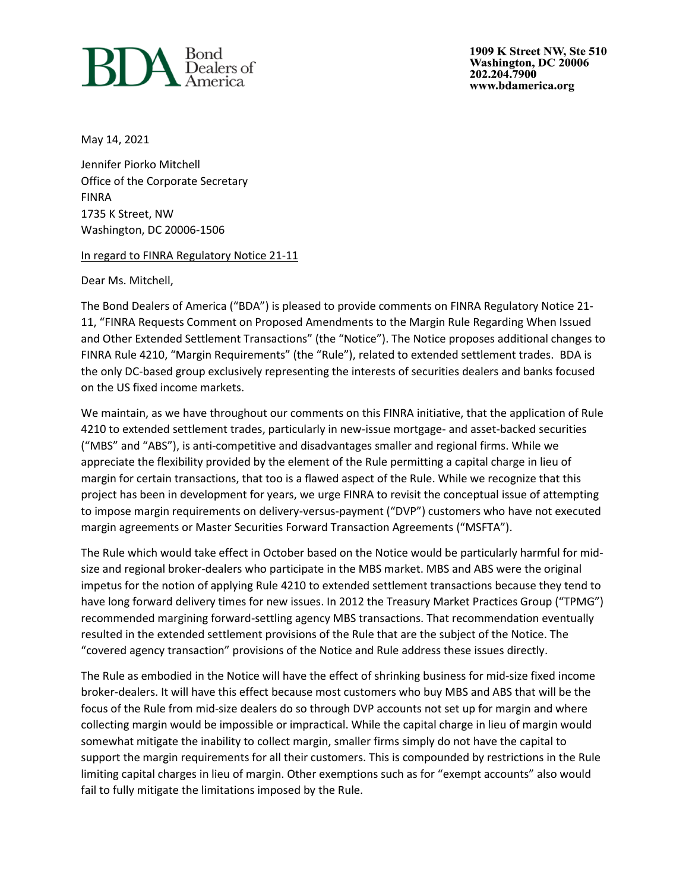

1909 K Street NW, Ste 510 Washington, DC 20006 202.204.7900 www.bdamerica.org

May 14, 2021

Jennifer Piorko Mitchell Office of the Corporate Secretary FINRA 1735 K Street, NW Washington, DC 20006-1506

In regard to FINRA Regulatory Notice 21-11

Dear Ms. Mitchell,

The Bond Dealers of America ("BDA") is pleased to provide comments on FINRA Regulatory Notice 21- 11, "FINRA Requests Comment on Proposed Amendments to the Margin Rule Regarding When Issued and Other Extended Settlement Transactions" (the "Notice"). The Notice proposes additional changes to FINRA Rule 4210, "Margin Requirements" (the "Rule"), related to extended settlement trades. BDA is the only DC-based group exclusively representing the interests of securities dealers and banks focused on the US fixed income markets.

We maintain, as we have throughout our comments on this FINRA initiative, that the application of Rule 4210 to extended settlement trades, particularly in new-issue mortgage- and asset-backed securities ("MBS" and "ABS"), is anti-competitive and disadvantages smaller and regional firms. While we appreciate the flexibility provided by the element of the Rule permitting a capital charge in lieu of margin for certain transactions, that too is a flawed aspect of the Rule. While we recognize that this project has been in development for years, we urge FINRA to revisit the conceptual issue of attempting to impose margin requirements on delivery-versus-payment ("DVP") customers who have not executed margin agreements or Master Securities Forward Transaction Agreements ("MSFTA").

The Rule which would take effect in October based on the Notice would be particularly harmful for midsize and regional broker-dealers who participate in the MBS market. MBS and ABS were the original impetus for the notion of applying Rule 4210 to extended settlement transactions because they tend to have long forward delivery times for new issues. In 2012 the Treasury Market Practices Group ("TPMG") recommended margining forward-settling agency MBS transactions. That recommendation eventually resulted in the extended settlement provisions of the Rule that are the subject of the Notice. The "covered agency transaction" provisions of the Notice and Rule address these issues directly.

The Rule as embodied in the Notice will have the effect of shrinking business for mid-size fixed income broker-dealers. It will have this effect because most customers who buy MBS and ABS that will be the focus of the Rule from mid-size dealers do so through DVP accounts not set up for margin and where collecting margin would be impossible or impractical. While the capital charge in lieu of margin would somewhat mitigate the inability to collect margin, smaller firms simply do not have the capital to support the margin requirements for all their customers. This is compounded by restrictions in the Rule limiting capital charges in lieu of margin. Other exemptions such as for "exempt accounts" also would fail to fully mitigate the limitations imposed by the Rule.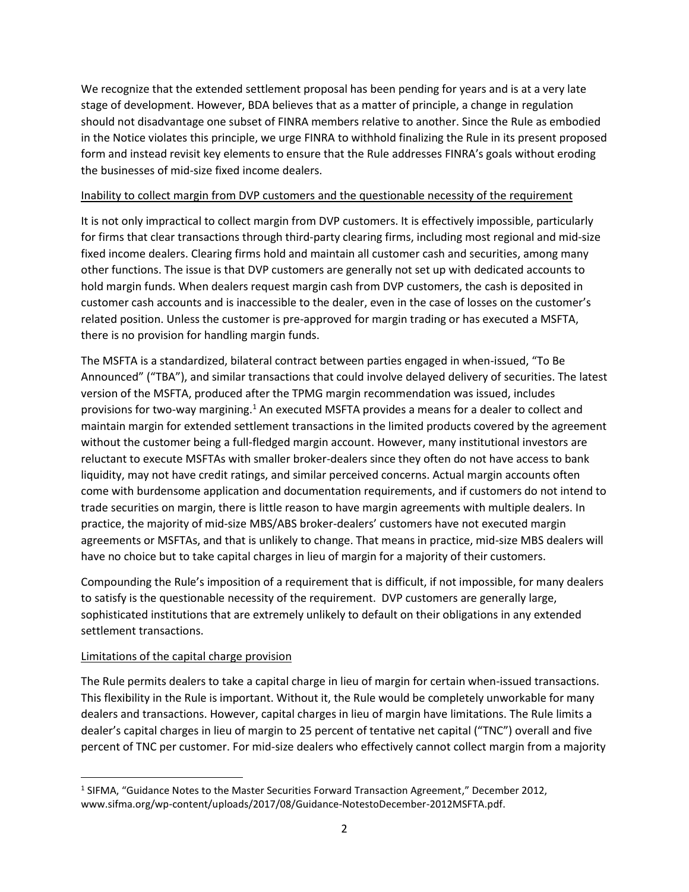We recognize that the extended settlement proposal has been pending for years and is at a very late stage of development. However, BDA believes that as a matter of principle, a change in regulation should not disadvantage one subset of FINRA members relative to another. Since the Rule as embodied in the Notice violates this principle, we urge FINRA to withhold finalizing the Rule in its present proposed form and instead revisit key elements to ensure that the Rule addresses FINRA's goals without eroding the businesses of mid-size fixed income dealers.

## Inability to collect margin from DVP customers and the questionable necessity of the requirement

It is not only impractical to collect margin from DVP customers. It is effectively impossible, particularly for firms that clear transactions through third-party clearing firms, including most regional and mid-size fixed income dealers. Clearing firms hold and maintain all customer cash and securities, among many other functions. The issue is that DVP customers are generally not set up with dedicated accounts to hold margin funds. When dealers request margin cash from DVP customers, the cash is deposited in customer cash accounts and is inaccessible to the dealer, even in the case of losses on the customer's related position. Unless the customer is pre-approved for margin trading or has executed a MSFTA, there is no provision for handling margin funds.

The MSFTA is a standardized, bilateral contract between parties engaged in when-issued, "To Be Announced" ("TBA"), and similar transactions that could involve delayed delivery of securities. The latest version of the MSFTA, produced after the TPMG margin recommendation was issued, includes provisions for two-way margining.<sup>1</sup> An executed MSFTA provides a means for a dealer to collect and maintain margin for extended settlement transactions in the limited products covered by the agreement without the customer being a full-fledged margin account. However, many institutional investors are reluctant to execute MSFTAs with smaller broker-dealers since they often do not have access to bank liquidity, may not have credit ratings, and similar perceived concerns. Actual margin accounts often come with burdensome application and documentation requirements, and if customers do not intend to trade securities on margin, there is little reason to have margin agreements with multiple dealers. In practice, the majority of mid-size MBS/ABS broker-dealers' customers have not executed margin agreements or MSFTAs, and that is unlikely to change. That means in practice, mid-size MBS dealers will have no choice but to take capital charges in lieu of margin for a majority of their customers.

Compounding the Rule's imposition of a requirement that is difficult, if not impossible, for many dealers to satisfy is the questionable necessity of the requirement. DVP customers are generally large, sophisticated institutions that are extremely unlikely to default on their obligations in any extended settlement transactions.

# Limitations of the capital charge provision

The Rule permits dealers to take a capital charge in lieu of margin for certain when-issued transactions. This flexibility in the Rule is important. Without it, the Rule would be completely unworkable for many dealers and transactions. However, capital charges in lieu of margin have limitations. The Rule limits a dealer's capital charges in lieu of margin to 25 percent of tentative net capital ("TNC") overall and five percent of TNC per customer. For mid-size dealers who effectively cannot collect margin from a majority

<sup>&</sup>lt;sup>1</sup> SIFMA, "Guidance Notes to the Master Securities Forward Transaction Agreement," December 2012, www.sifma.org/wp-content/uploads/2017/08/Guidance-NotestoDecember-2012MSFTA.pdf.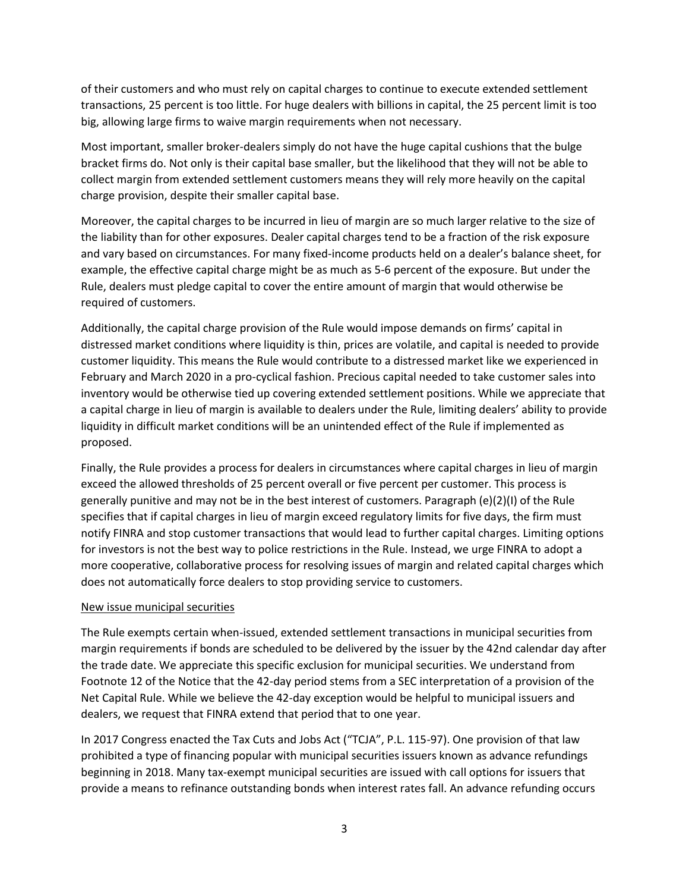of their customers and who must rely on capital charges to continue to execute extended settlement transactions, 25 percent is too little. For huge dealers with billions in capital, the 25 percent limit is too big, allowing large firms to waive margin requirements when not necessary.

Most important, smaller broker-dealers simply do not have the huge capital cushions that the bulge bracket firms do. Not only is their capital base smaller, but the likelihood that they will not be able to collect margin from extended settlement customers means they will rely more heavily on the capital charge provision, despite their smaller capital base.

Moreover, the capital charges to be incurred in lieu of margin are so much larger relative to the size of the liability than for other exposures. Dealer capital charges tend to be a fraction of the risk exposure and vary based on circumstances. For many fixed-income products held on a dealer's balance sheet, for example, the effective capital charge might be as much as 5-6 percent of the exposure. But under the Rule, dealers must pledge capital to cover the entire amount of margin that would otherwise be required of customers.

Additionally, the capital charge provision of the Rule would impose demands on firms' capital in distressed market conditions where liquidity is thin, prices are volatile, and capital is needed to provide customer liquidity. This means the Rule would contribute to a distressed market like we experienced in February and March 2020 in a pro-cyclical fashion. Precious capital needed to take customer sales into inventory would be otherwise tied up covering extended settlement positions. While we appreciate that a capital charge in lieu of margin is available to dealers under the Rule, limiting dealers' ability to provide liquidity in difficult market conditions will be an unintended effect of the Rule if implemented as proposed.

Finally, the Rule provides a process for dealers in circumstances where capital charges in lieu of margin exceed the allowed thresholds of 25 percent overall or five percent per customer. This process is generally punitive and may not be in the best interest of customers. Paragraph (e)(2)(I) of the Rule specifies that if capital charges in lieu of margin exceed regulatory limits for five days, the firm must notify FINRA and stop customer transactions that would lead to further capital charges. Limiting options for investors is not the best way to police restrictions in the Rule. Instead, we urge FINRA to adopt a more cooperative, collaborative process for resolving issues of margin and related capital charges which does not automatically force dealers to stop providing service to customers.

### New issue municipal securities

The Rule exempts certain when-issued, extended settlement transactions in municipal securities from margin requirements if bonds are scheduled to be delivered by the issuer by the 42nd calendar day after the trade date. We appreciate this specific exclusion for municipal securities. We understand from Footnote 12 of the Notice that the 42-day period stems from a SEC interpretation of a provision of the Net Capital Rule. While we believe the 42-day exception would be helpful to municipal issuers and dealers, we request that FINRA extend that period that to one year.

In 2017 Congress enacted the Tax Cuts and Jobs Act ("TCJA", P.L. 115-97). One provision of that law prohibited a type of financing popular with municipal securities issuers known as advance refundings beginning in 2018. Many tax-exempt municipal securities are issued with call options for issuers that provide a means to refinance outstanding bonds when interest rates fall. An advance refunding occurs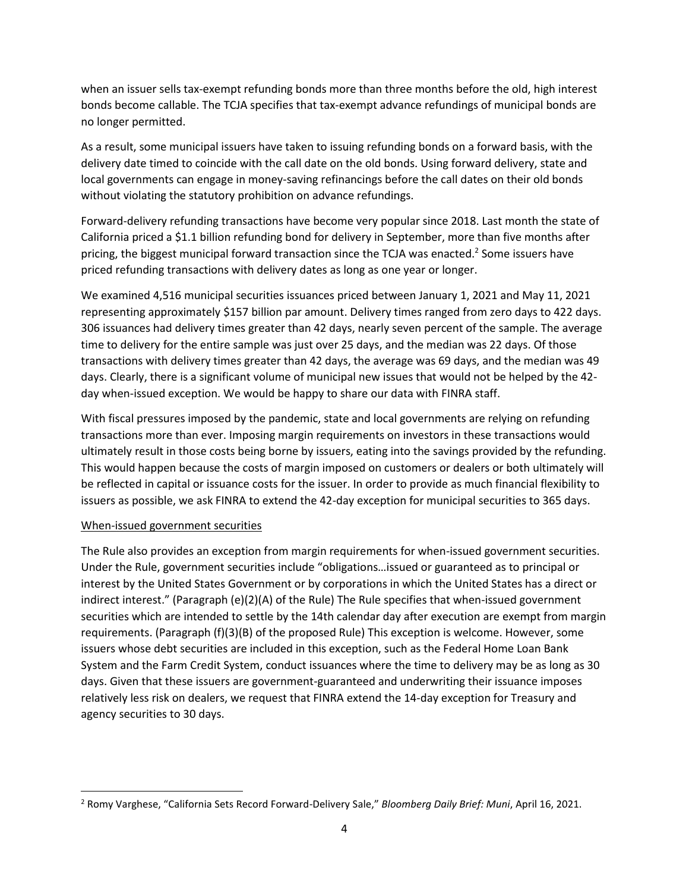when an issuer sells tax-exempt refunding bonds more than three months before the old, high interest bonds become callable. The TCJA specifies that tax-exempt advance refundings of municipal bonds are no longer permitted.

As a result, some municipal issuers have taken to issuing refunding bonds on a forward basis, with the delivery date timed to coincide with the call date on the old bonds. Using forward delivery, state and local governments can engage in money-saving refinancings before the call dates on their old bonds without violating the statutory prohibition on advance refundings.

Forward-delivery refunding transactions have become very popular since 2018. Last month the state of California priced a \$1.1 billion refunding bond for delivery in September, more than five months after pricing, the biggest municipal forward transaction since the TCJA was enacted.<sup>2</sup> Some issuers have priced refunding transactions with delivery dates as long as one year or longer.

We examined 4,516 municipal securities issuances priced between January 1, 2021 and May 11, 2021 representing approximately \$157 billion par amount. Delivery times ranged from zero days to 422 days. 306 issuances had delivery times greater than 42 days, nearly seven percent of the sample. The average time to delivery for the entire sample was just over 25 days, and the median was 22 days. Of those transactions with delivery times greater than 42 days, the average was 69 days, and the median was 49 days. Clearly, there is a significant volume of municipal new issues that would not be helped by the 42 day when-issued exception. We would be happy to share our data with FINRA staff.

With fiscal pressures imposed by the pandemic, state and local governments are relying on refunding transactions more than ever. Imposing margin requirements on investors in these transactions would ultimately result in those costs being borne by issuers, eating into the savings provided by the refunding. This would happen because the costs of margin imposed on customers or dealers or both ultimately will be reflected in capital or issuance costs for the issuer. In order to provide as much financial flexibility to issuers as possible, we ask FINRA to extend the 42-day exception for municipal securities to 365 days.

### When-issued government securities

The Rule also provides an exception from margin requirements for when-issued government securities. Under the Rule, government securities include "obligations…issued or guaranteed as to principal or interest by the United States Government or by corporations in which the United States has a direct or indirect interest." (Paragraph (e)(2)(A) of the Rule) The Rule specifies that when-issued government securities which are intended to settle by the 14th calendar day after execution are exempt from margin requirements. (Paragraph (f)(3)(B) of the proposed Rule) This exception is welcome. However, some issuers whose debt securities are included in this exception, such as the Federal Home Loan Bank System and the Farm Credit System, conduct issuances where the time to delivery may be as long as 30 days. Given that these issuers are government-guaranteed and underwriting their issuance imposes relatively less risk on dealers, we request that FINRA extend the 14-day exception for Treasury and agency securities to 30 days.

<sup>2</sup> Romy Varghese, "California Sets Record Forward-Delivery Sale," *Bloomberg Daily Brief: Muni*, April 16, 2021.